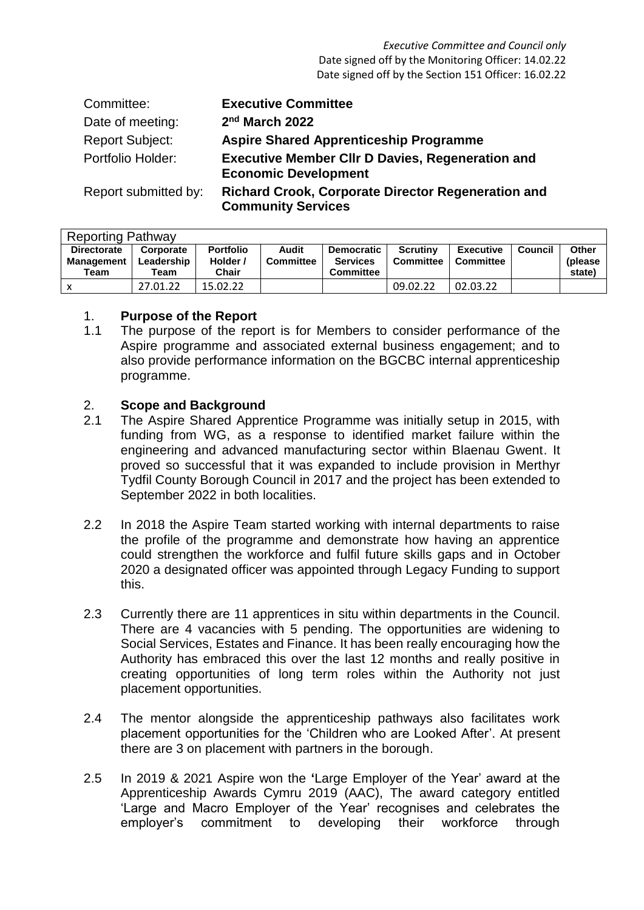| Committee:             | <b>Executive Committee</b>                                                             |
|------------------------|----------------------------------------------------------------------------------------|
| Date of meeting:       | 2 <sup>nd</sup> March 2022                                                             |
| <b>Report Subject:</b> | <b>Aspire Shared Apprenticeship Programme</b>                                          |
| Portfolio Holder:      | <b>Executive Member CIIr D Davies, Regeneration and</b><br><b>Economic Development</b> |
| Report submitted by:   | <b>Richard Crook, Corporate Director Regeneration and</b><br><b>Community Services</b> |

| <b>Reporting Pathway</b>         |                         |                              |                           |                                      |                              |                               |         |                          |
|----------------------------------|-------------------------|------------------------------|---------------------------|--------------------------------------|------------------------------|-------------------------------|---------|--------------------------|
| <b>Directorate</b><br>Management | Corporate<br>Leadership | <b>Portfolio</b><br>Holder / | Audit<br><b>Committee</b> | <b>Democratic</b><br><b>Services</b> | <b>Scrutiny</b><br>Committee | <b>Executive</b><br>Committee | Council | <b>Other</b><br>(please) |
| Team                             | Team                    | Chair                        |                           | <b>Committee</b>                     |                              |                               |         | state)                   |
|                                  | 27.01.22                | 15.02.22                     |                           |                                      | 09.02.22                     | 02.03.22                      |         |                          |

### 1. **Purpose of the Report**

1.1 The purpose of the report is for Members to consider performance of the Aspire programme and associated external business engagement; and to also provide performance information on the BGCBC internal apprenticeship programme.

### 2. **Scope and Background**

- 2.1 The Aspire Shared Apprentice Programme was initially setup in 2015, with funding from WG, as a response to identified market failure within the engineering and advanced manufacturing sector within Blaenau Gwent. It proved so successful that it was expanded to include provision in Merthyr Tydfil County Borough Council in 2017 and the project has been extended to September 2022 in both localities.
- 2.2 In 2018 the Aspire Team started working with internal departments to raise the profile of the programme and demonstrate how having an apprentice could strengthen the workforce and fulfil future skills gaps and in October 2020 a designated officer was appointed through Legacy Funding to support this.
- 2.3 Currently there are 11 apprentices in situ within departments in the Council. There are 4 vacancies with 5 pending. The opportunities are widening to Social Services, Estates and Finance. It has been really encouraging how the Authority has embraced this over the last 12 months and really positive in creating opportunities of long term roles within the Authority not just placement opportunities.
- 2.4 The mentor alongside the apprenticeship pathways also facilitates work placement opportunities for the 'Children who are Looked After'. At present there are 3 on placement with partners in the borough.
- 2.5 In 2019 & 2021 Aspire won the **'**Large Employer of the Year' award at the Apprenticeship Awards Cymru 2019 (AAC), The award category entitled 'Large and Macro Employer of the Year' recognises and celebrates the employer's commitment to developing their workforce through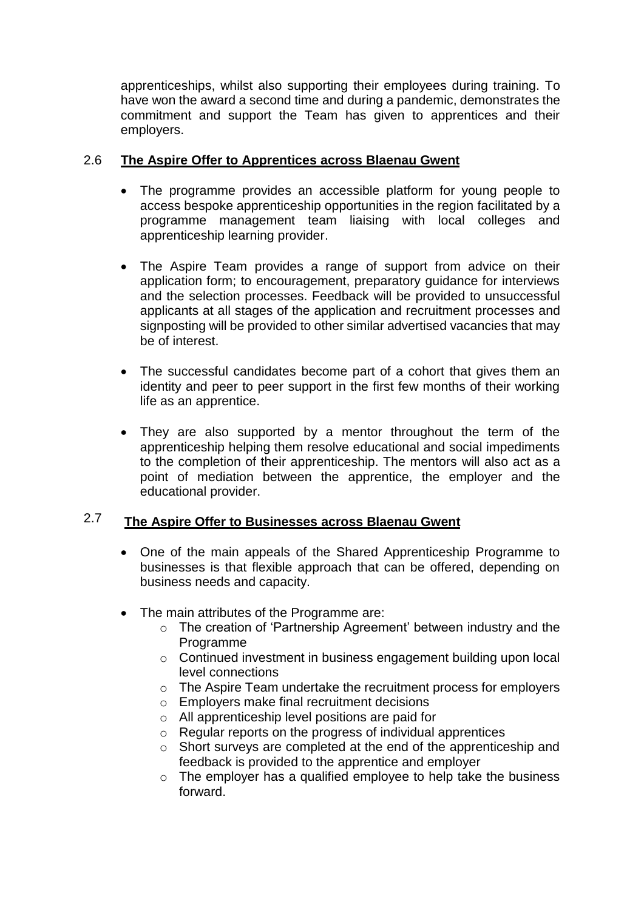apprenticeships, whilst also supporting their employees during training. To have won the award a second time and during a pandemic, demonstrates the commitment and support the Team has given to apprentices and their employers.

#### 2.6 **The Aspire Offer to Apprentices across Blaenau Gwent**

- The programme provides an accessible platform for young people to access bespoke apprenticeship opportunities in the region facilitated by a programme management team liaising with local colleges and apprenticeship learning provider.
- The Aspire Team provides a range of support from advice on their application form; to encouragement, preparatory guidance for interviews and the selection processes. Feedback will be provided to unsuccessful applicants at all stages of the application and recruitment processes and signposting will be provided to other similar advertised vacancies that may be of interest.
- The successful candidates become part of a cohort that gives them an identity and peer to peer support in the first few months of their working life as an apprentice.
- They are also supported by a mentor throughout the term of the apprenticeship helping them resolve educational and social impediments to the completion of their apprenticeship. The mentors will also act as a point of mediation between the apprentice, the employer and the educational provider.

#### 2.7 **The Aspire Offer to Businesses across Blaenau Gwent**

- One of the main appeals of the Shared Apprenticeship Programme to businesses is that flexible approach that can be offered, depending on business needs and capacity.
- The main attributes of the Programme are:
	- o The creation of 'Partnership Agreement' between industry and the Programme
	- o Continued investment in business engagement building upon local level connections
	- o The Aspire Team undertake the recruitment process for employers
	- o Employers make final recruitment decisions
	- o All apprenticeship level positions are paid for
	- o Regular reports on the progress of individual apprentices
	- o Short surveys are completed at the end of the apprenticeship and feedback is provided to the apprentice and employer
	- o The employer has a qualified employee to help take the business forward.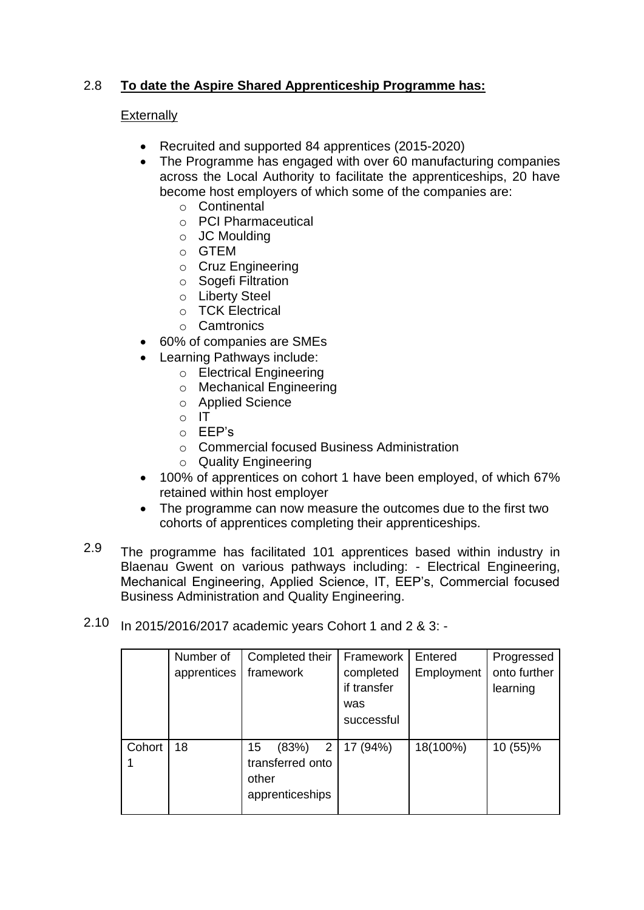#### 2.8 **To date the Aspire Shared Apprenticeship Programme has:**

## **Externally**

- Recruited and supported 84 apprentices (2015-2020)
- The Programme has engaged with over 60 manufacturing companies across the Local Authority to facilitate the apprenticeships, 20 have become host employers of which some of the companies are:
	- o Continental
	- o PCI Pharmaceutical
	- o JC Moulding
	- o GTEM
	- o Cruz Engineering
	- o Sogefi Filtration
	- o Liberty Steel
	- o TCK Electrical
	- o Camtronics
- 60% of companies are SMEs
- Learning Pathways include:
	- o Electrical Engineering
	- o Mechanical Engineering
	- o Applied Science
	- $\circ$  IT
	- o EEP's
	- o Commercial focused Business Administration
	- o Quality Engineering
- 100% of apprentices on cohort 1 have been employed, of which 67% retained within host employer
- The programme can now measure the outcomes due to the first two cohorts of apprentices completing their apprenticeships.
- 2.9 The programme has facilitated 101 apprentices based within industry in Blaenau Gwent on various pathways including: - Electrical Engineering, Mechanical Engineering, Applied Science, IT, EEP's, Commercial focused Business Administration and Quality Engineering.
- 2.10 In 2015/2016/2017 academic years Cohort 1 and 2 & 3: -

|        | Number of<br>apprentices | Completed their<br>framework                                     | Framework<br>completed<br>if transfer<br>was<br>successful | Entered<br>Employment | Progressed<br>onto further<br>learning |
|--------|--------------------------|------------------------------------------------------------------|------------------------------------------------------------|-----------------------|----------------------------------------|
| Cohort | 18                       | 2<br>15<br>(83%)<br>transferred onto<br>other<br>apprenticeships | 17 (94%)                                                   | 18(100%)              | 10 (55)%                               |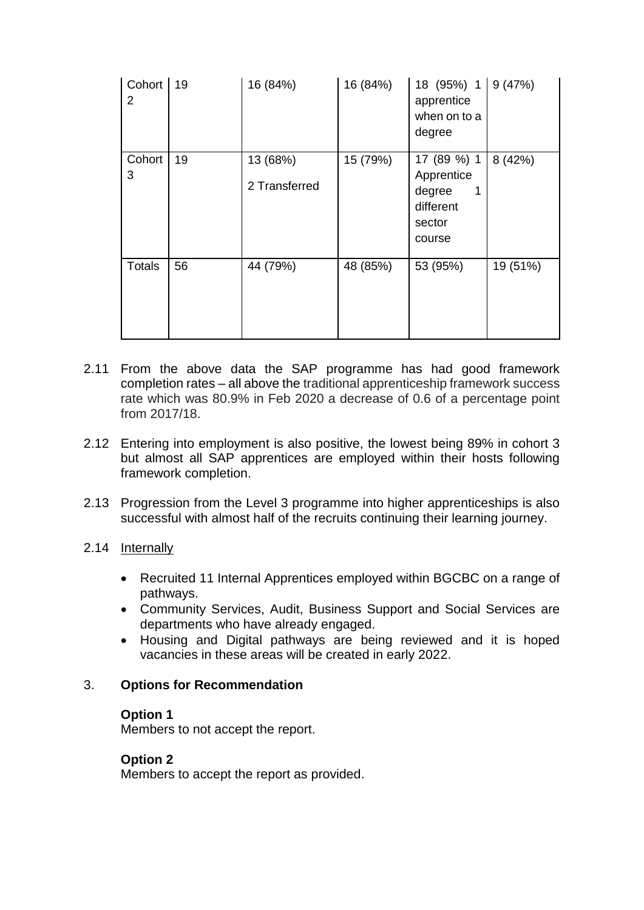| Cohort<br>2   | 19 | 16 (84%)                  | 16 (84%) | 18 (95%) 1 9 (47%)<br>apprentice<br>when on to a<br>degree                |          |
|---------------|----|---------------------------|----------|---------------------------------------------------------------------------|----------|
| Cohort<br>3   | 19 | 13 (68%)<br>2 Transferred | 15 (79%) | 17 (89 %) 1<br>Apprentice<br>degree<br>1<br>different<br>sector<br>course | 8(42%)   |
| <b>Totals</b> | 56 | 44 (79%)                  | 48 (85%) | 53 (95%)                                                                  | 19 (51%) |

- 2.11 From the above data the SAP programme has had good framework completion rates – all above the traditional apprenticeship framework success rate which was 80.9% in Feb 2020 a decrease of 0.6 of a percentage point from 2017/18.
- 2.12 Entering into employment is also positive, the lowest being 89% in cohort 3 but almost all SAP apprentices are employed within their hosts following framework completion.
- 2.13 Progression from the Level 3 programme into higher apprenticeships is also successful with almost half of the recruits continuing their learning journey.

### 2.14 Internally

- Recruited 11 Internal Apprentices employed within BGCBC on a range of pathways.
- Community Services, Audit, Business Support and Social Services are departments who have already engaged.
- Housing and Digital pathways are being reviewed and it is hoped vacancies in these areas will be created in early 2022.

### 3. **Options for Recommendation**

#### **Option 1**

Members to not accept the report.

### **Option 2**

Members to accept the report as provided.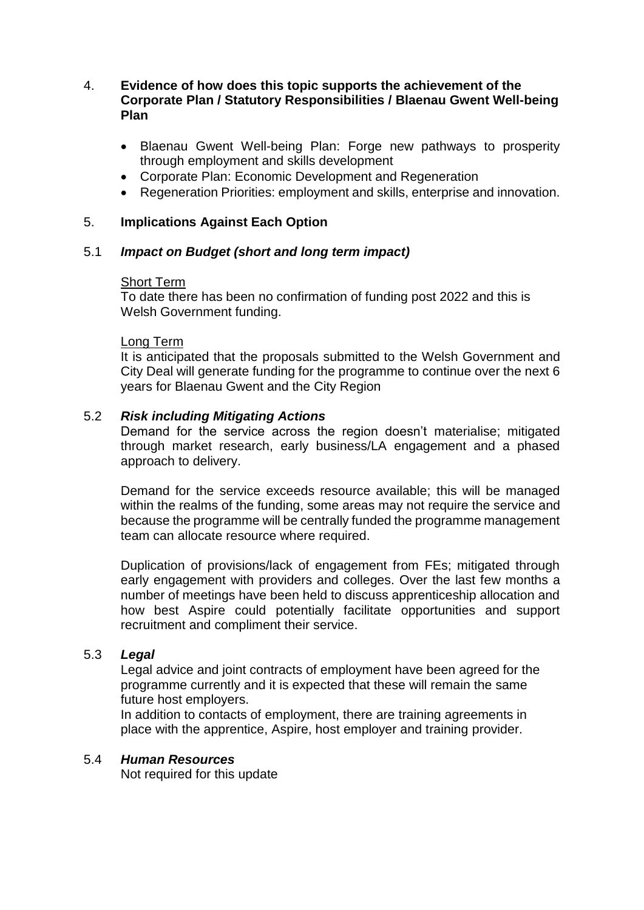### 4. **Evidence of how does this topic supports the achievement of the Corporate Plan / Statutory Responsibilities / Blaenau Gwent Well-being Plan**

- Blaenau Gwent Well-being Plan: Forge new pathways to prosperity through employment and skills development
- Corporate Plan: Economic Development and Regeneration
- Regeneration Priorities: employment and skills, enterprise and innovation.

## 5. **Implications Against Each Option**

### 5.1 *Impact on Budget (short and long term impact)*

#### Short Term

To date there has been no confirmation of funding post 2022 and this is Welsh Government funding.

#### Long Term

It is anticipated that the proposals submitted to the Welsh Government and City Deal will generate funding for the programme to continue over the next 6 years for Blaenau Gwent and the City Region

### 5.2 *Risk including Mitigating Actions*

Demand for the service across the region doesn't materialise; mitigated through market research, early business/LA engagement and a phased approach to delivery.

Demand for the service exceeds resource available; this will be managed within the realms of the funding, some areas may not require the service and because the programme will be centrally funded the programme management team can allocate resource where required.

Duplication of provisions/lack of engagement from FEs; mitigated through early engagement with providers and colleges. Over the last few months a number of meetings have been held to discuss apprenticeship allocation and how best Aspire could potentially facilitate opportunities and support recruitment and compliment their service.

### 5.3 *Legal*

Legal advice and joint contracts of employment have been agreed for the programme currently and it is expected that these will remain the same future host employers.

In addition to contacts of employment, there are training agreements in place with the apprentice, Aspire, host employer and training provider.

#### 5.4 *Human Resources*

Not required for this update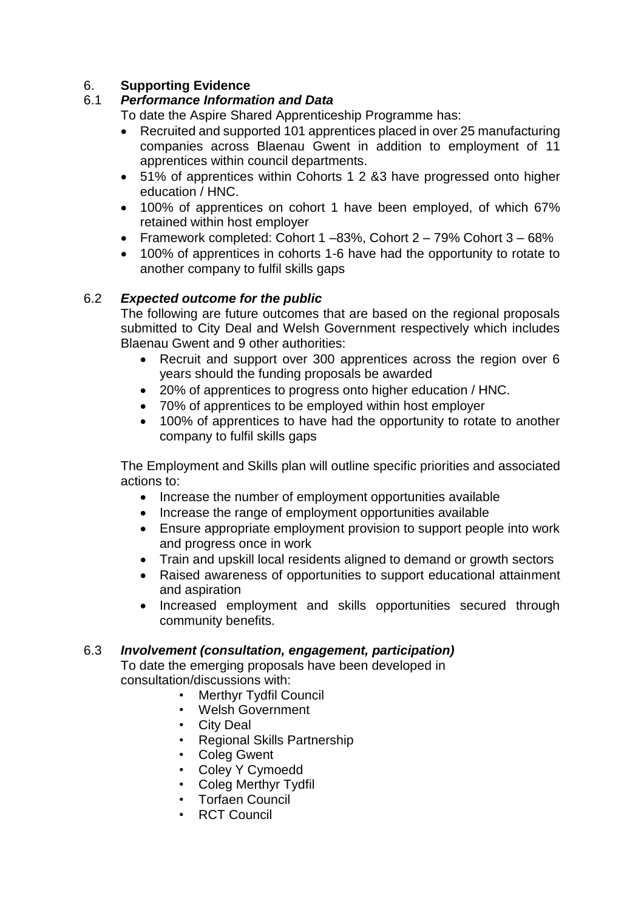# 6. **Supporting Evidence**

# 6.1 *Performance Information and Data*

To date the Aspire Shared Apprenticeship Programme has:

- Recruited and supported 101 apprentices placed in over 25 manufacturing companies across Blaenau Gwent in addition to employment of 11 apprentices within council departments.
- 51% of apprentices within Cohorts 1 2 &3 have progressed onto higher education / HNC.
- 100% of apprentices on cohort 1 have been employed, of which 67% retained within host employer
- Framework completed: Cohort  $1 83\%$ , Cohort  $2 79\%$  Cohort  $3 68\%$
- 100% of apprentices in cohorts 1-6 have had the opportunity to rotate to another company to fulfil skills gaps

# 6.2 *Expected outcome for the public*

The following are future outcomes that are based on the regional proposals submitted to City Deal and Welsh Government respectively which includes Blaenau Gwent and 9 other authorities:

- Recruit and support over 300 apprentices across the region over 6 years should the funding proposals be awarded
- 20% of apprentices to progress onto higher education / HNC.
- 70% of apprentices to be employed within host employer
- 100% of apprentices to have had the opportunity to rotate to another company to fulfil skills gaps

The Employment and Skills plan will outline specific priorities and associated actions to:

- Increase the number of employment opportunities available
- Increase the range of employment opportunities available
- Ensure appropriate employment provision to support people into work and progress once in work
- Train and upskill local residents aligned to demand or growth sectors
- Raised awareness of opportunities to support educational attainment and aspiration
- Increased employment and skills opportunities secured through community benefits.

### 6.3 *Involvement (consultation, engagement, participation)*

To date the emerging proposals have been developed in consultation/discussions with:

- **Merthyr Tydfil Council**
- Welsh Government
- City Deal
- Regional Skills Partnership
- Coleg Gwent
- Coley Y Cymoedd
- Coleg Merthyr Tydfil
- Torfaen Council
- RCT Council